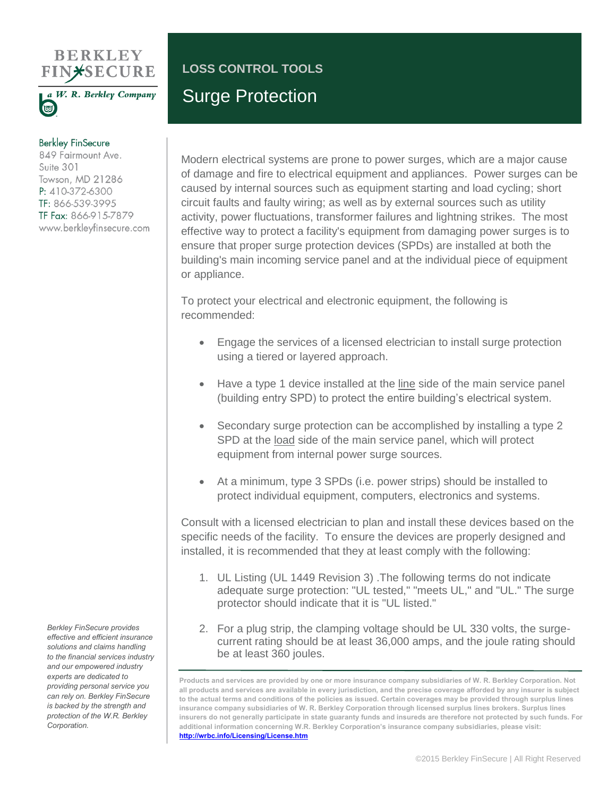## **BERKLEY FIN\*SECURE**



## **Berkley FinSecure**

849 Fairmount Ave. Suite 301 Towson, MD 21286 P: 410-372-6300 TF: 866-539-3995 TF Fax: 866-915-7879 www.berkleyfinsecure.com

## **LOSS CONTROL TOOLS** Surge Protection

Modern electrical systems are prone to power surges, which are a major cause of damage and fire to electrical equipment and appliances. Power surges can be caused by internal sources such as equipment starting and load cycling; short circuit faults and faulty wiring; as well as by external sources such as utility activity, power fluctuations, transformer failures and lightning strikes. The most effective way to protect a facility's equipment from damaging power surges is to ensure that proper surge protection devices (SPDs) are installed at both the building's main incoming service panel and at the individual piece of equipment or appliance.

To protect your electrical and electronic equipment, the following is recommended:

- Engage the services of a licensed electrician to install surge protection using a tiered or layered approach.
- Have a type 1 device installed at the line side of the main service panel (building entry SPD) to protect the entire building's electrical system.
- Secondary surge protection can be accomplished by installing a type 2 SPD at the load side of the main service panel, which will protect equipment from internal power surge sources.
- At a minimum, type 3 SPDs (i.e. power strips) should be installed to protect individual equipment, computers, electronics and systems.

Consult with a licensed electrician to plan and install these devices based on the specific needs of the facility. To ensure the devices are properly designed and installed, it is recommended that they at least comply with the following:

- 1. UL Listing (UL 1449 Revision 3) .The following terms do not indicate adequate surge protection: "UL tested," "meets UL," and "UL." The surge protector should indicate that it is "UL listed."
- 2. For a plug strip, the clamping voltage should be UL 330 volts, the surgecurrent rating should be at least 36,000 amps, and the joule rating should be at least 360 joules.

*Berkley FinSecure provides effective and efficient insurance solutions and claims handling to the financial services industry and our empowered industry experts are dedicated to providing personal service you can rely on. Berkley FinSecure is backed by the strength and protection of the W.R. Berkley Corporation.*

**Products and services are provided by one or more insurance company subsidiaries of W. R. Berkley Corporation. Not all products and services are available in every jurisdiction, and the precise coverage afforded by any insurer is subject to the actual terms and conditions of the policies as issued. Certain coverages may be provided through surplus lines insurance company subsidiaries of W. R. Berkley Corporation through licensed surplus lines brokers. Surplus lines insurers do not generally participate in state guaranty funds and insureds are therefore not protected by such funds. For additional information concerning W.R. Berkley Corporation's insurance company subsidiaries, please visit: <http://wrbc.info/Licensing/License.htm>**